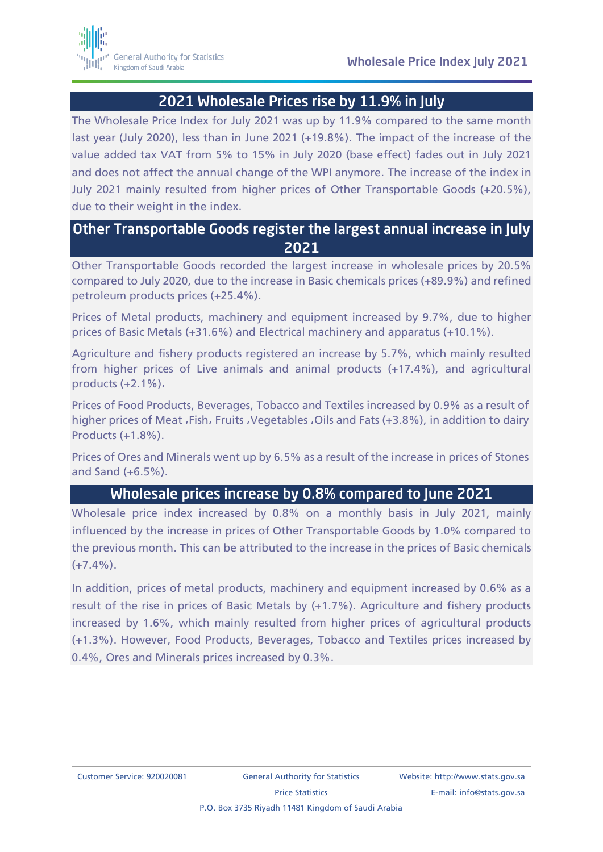## 2021 Wholesale Prices rise by 11.9% in July

The Wholesale Price Index for July 2021 was up by 11.9% compared to the same month last year (July 2020), less than in June 2021 (+19.8%). The impact of the increase of the value added tax VAT from 5% to 15% in July 2020 (base effect) fades out in July 2021 and does not affect the annual change of the WPI anymore. The increase of the index in July 2021 mainly resulted from higher prices of Other Transportable Goods (+20.5%), due to their weight in the index.

## Other Transportable Goods register the largest annual increase in July 2021

Other Transportable Goods recorded the largest increase in wholesale prices by 20.5% compared to July 2020, due to the increase in Basic chemicals prices (+89.9%) and refined petroleum products prices (+25.4%).

Prices of Metal products, machinery and equipment increased by 9.7%, due to higher prices of Basic Metals (+31.6%) and Electrical machinery and apparatus (+10.1%).

Agriculture and fishery products registered an increase by 5.7%, which mainly resulted from higher prices of Live animals and animal products (+17.4%), and agricultural products (+2.1%),

Prices of Food Products, Beverages, Tobacco and Textiles increased by 0.9% as a result of higher prices of Meat , Fish, Fruits , Vegetables , Oils and Fats (+3.8%), in addition to dairy Products (+1.8%).

Prices of Ores and Minerals went up by 6.5% as a result of the increase in prices of Stones and Sand (+6.5%).

### Wholesale prices increase by 0.8% compared to June 2021

Wholesale price index increased by 0.8% on a monthly basis in July 2021, mainly influenced by the increase in prices of Other Transportable Goods by 1.0% compared to the previous month. This can be attributed to the increase in the prices of Basic chemicals  $(+7.4\%)$ .

In addition, prices of metal products, machinery and equipment increased by 0.6% as a result of the rise in prices of Basic Metals by (+1.7%). Agriculture and fishery products increased by 1.6%, which mainly resulted from higher prices of agricultural products (+1.3%). However, Food Products, Beverages, Tobacco and Textiles prices increased by 0.4%, Ores and Minerals prices increased by 0.3%.